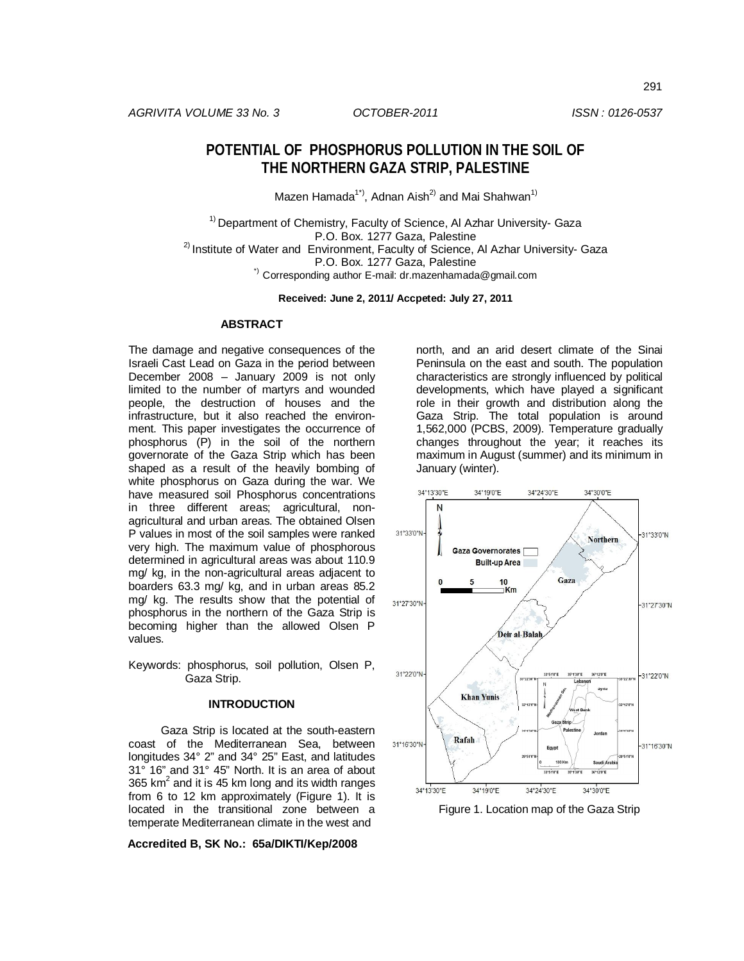# **POTENTIAL OF PHOSPHORUS POLLUTION IN THE SOIL OF THE NORTHERN GAZA STRIP, PALESTINE**

Mazen Hamada<sup>1\*)</sup>, Adnan Aish<sup>2)</sup> and Mai Shahwan<sup>1)</sup>

<sup>1)</sup> Department of Chemistry, Faculty of Science, Al Azhar University- Gaza P.O. Box. 1277 Gaza, Palestine <sup>2)</sup> Institute of Water and Environment, Faculty of Science, AI Azhar University- Gaza P.O. Box. 1277 Gaza, Palestine \*) Corresponding author E-mail: dr.mazenhamada@gmail.com

**Received: June 2, 2011/ Accpeted: July 27, 2011**

### **ABSTRACT**

The damage and negative consequences of the Israeli Cast Lead on Gaza in the period between December 2008 – January 2009 is not only limited to the number of martyrs and wounded people, the destruction of houses and the infrastructure, but it also reached the environment. This paper investigates the occurrence of phosphorus (P) in the soil of the northern governorate of the Gaza Strip which has been shaped as a result of the heavily bombing of white phosphorus on Gaza during the war. We have measured soil Phosphorus concentrations in three different areas; agricultural, nonagricultural and urban areas. The obtained Olsen P values in most of the soil samples were ranked very high. The maximum value of phosphorous determined in agricultural areas was about 110.9 mg/ kg, in the non-agricultural areas adjacent to boarders 63.3 mg/ kg, and in urban areas 85.2 mg/ kg. The results show that the potential of phosphorus in the northern of the Gaza Strip is becoming higher than the allowed Olsen P values.

Keywords: phosphorus, soil pollution, Olsen P, Gaza Strip.

#### **INTRODUCTION**

Gaza Strip is located at the south-eastern coast of the Mediterranean Sea, between longitudes 34° 2" and 34° 25" East, and latitudes 31° 16" and 31° 45" North. It is an area of about 365 km<sup>2</sup> and it is 45 km long and its width ranges from 6 to 12 km approximately (Figure 1). It is located in the transitional zone between a temperate Mediterranean climate in the west and

**Accredited B, SK No.: 65a/DIKTI/Kep/2008**

north, and an arid desert climate of the Sinai Peninsula on the east and south. The population characteristics are strongly influenced by political developments, which have played a significant role in their growth and distribution along the Gaza Strip. The total population is around 1,562,000 (PCBS, 2009). Temperature gradually changes throughout the year; it reaches its maximum in August (summer) and its minimum in January (winter).



Figure 1. Location map of the Gaza Strip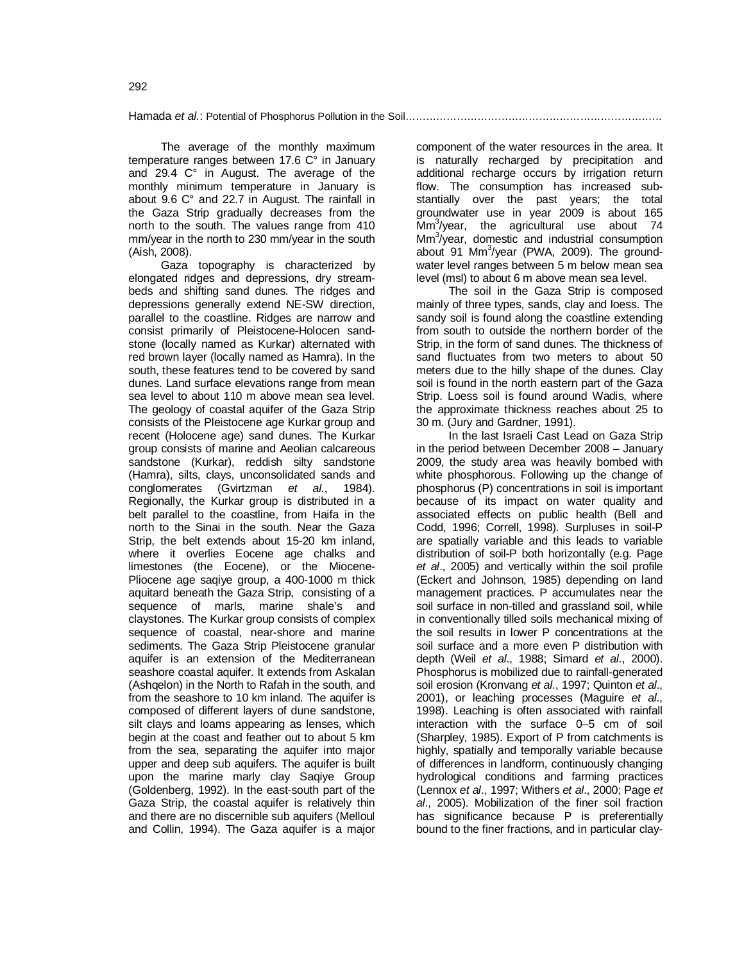The average of the monthly maximum temperature ranges between 17.6 C° in January and 29.4 C° in August. The average of the monthly minimum temperature in January is about 9.6 C° and 22.7 in August. The rainfall in the Gaza Strip gradually decreases from the north to the south. The values range from 410 mm/year in the north to 230 mm/year in the south (Aish, 2008).

Gaza topography is characterized by elongated ridges and depressions, dry streambeds and shifting sand dunes. The ridges and depressions generally extend NE-SW direction, parallel to the coastline. Ridges are narrow and consist primarily of Pleistocene-Holocen sandstone (locally named as Kurkar) alternated with red brown layer (locally named as Hamra). In the south, these features tend to be covered by sand dunes. Land surface elevations range from mean sea level to about 110 m above mean sea level. The geology of coastal aquifer of the Gaza Strip consists of the Pleistocene age Kurkar group and recent (Holocene age) sand dunes. The Kurkar group consists of marine and Aeolian calcareous sandstone (Kurkar), reddish silty sandstone (Hamra), silts, clays, unconsolidated sands and conglomerates (Gvirtzman *et al.*, 1984). Regionally, the Kurkar group is distributed in a belt parallel to the coastline, from Haifa in the north to the Sinai in the south. Near the Gaza Strip, the belt extends about 15-20 km inland, where it overlies Eocene age chalks and limestones (the Eocene), or the Miocene-Pliocene age saqiye group, a 400-1000 m thick aquitard beneath the Gaza Strip, consisting of a sequence of marls, marine shale's and claystones. The Kurkar group consists of complex sequence of coastal, near-shore and marine sediments. The Gaza Strip Pleistocene granular aquifer is an extension of the Mediterranean seashore coastal aquifer. It extends from Askalan (Ashqelon) in the North to Rafah in the south, and from the seashore to 10 km inland. The aquifer is composed of different layers of dune sandstone, silt clays and loams appearing as lenses, which begin at the coast and feather out to about 5 km from the sea, separating the aquifer into major upper and deep sub aquifers. The aquifer is built upon the marine marly clay Saqiye Group (Goldenberg, 1992). In the east-south part of the Gaza Strip, the coastal aquifer is relatively thin and there are no discernible sub aquifers (Melloul and Collin, 1994). The Gaza aquifer is a major

component of the water resources in the area. It is naturally recharged by precipitation and additional recharge occurs by irrigation return flow. The consumption has increased substantially over the past years; the total groundwater use in year 2009 is about 165 Mm<sup>3</sup> /year, the agricultural use about 74 Mm<sup>3</sup>/year, domestic and industrial consumption about 91 Mm<sup>3</sup>/year (PWA, 2009). The groundwater level ranges between 5 m below mean sea level (msl) to about 6 m above mean sea level.

The soil in the Gaza Strip is composed mainly of three types, sands, clay and loess. The sandy soil is found along the coastline extending from south to outside the northern border of the Strip, in the form of sand dunes. The thickness of sand fluctuates from two meters to about 50 meters due to the hilly shape of the dunes. Clay soil is found in the north eastern part of the Gaza Strip. Loess soil is found around Wadis, where the approximate thickness reaches about 25 to 30 m. (Jury and Gardner, 1991).

In the last Israeli Cast Lead on Gaza Strip in the period between December 2008 – January 2009, the study area was heavily bombed with white phosphorous. Following up the change of phosphorus (P) concentrations in soil is important because of its impact on water quality and associated effects on public health (Bell and Codd, 1996; Correll, 1998). Surpluses in soil-P are spatially variable and this leads to variable distribution of soil-P both horizontally (e.g. Page *et al*., 2005) and vertically within the soil profile (Eckert and Johnson, 1985) depending on land management practices. P accumulates near the soil surface in non-tilled and grassland soil, while in conventionally tilled soils mechanical mixing of the soil results in lower P concentrations at the soil surface and a more even P distribution with depth (Weil *et al*., 1988; Simard *et al*., 2000). Phosphorus is mobilized due to rainfall-generated soil erosion (Kronvang *et al*., 1997; Quinton *et al*., 2001), or leaching processes (Maguire *et al*., 1998). Leaching is often associated with rainfall interaction with the surface 0–5 cm of soil (Sharpley, 1985). Export of P from catchments is highly, spatially and temporally variable because of differences in landform, continuously changing hydrological conditions and farming practices (Lennox *et al*., 1997; Withers *et al*., 2000; Page *et al*., 2005). Mobilization of the finer soil fraction has significance because P is preferentially bound to the finer fractions, and in particular clay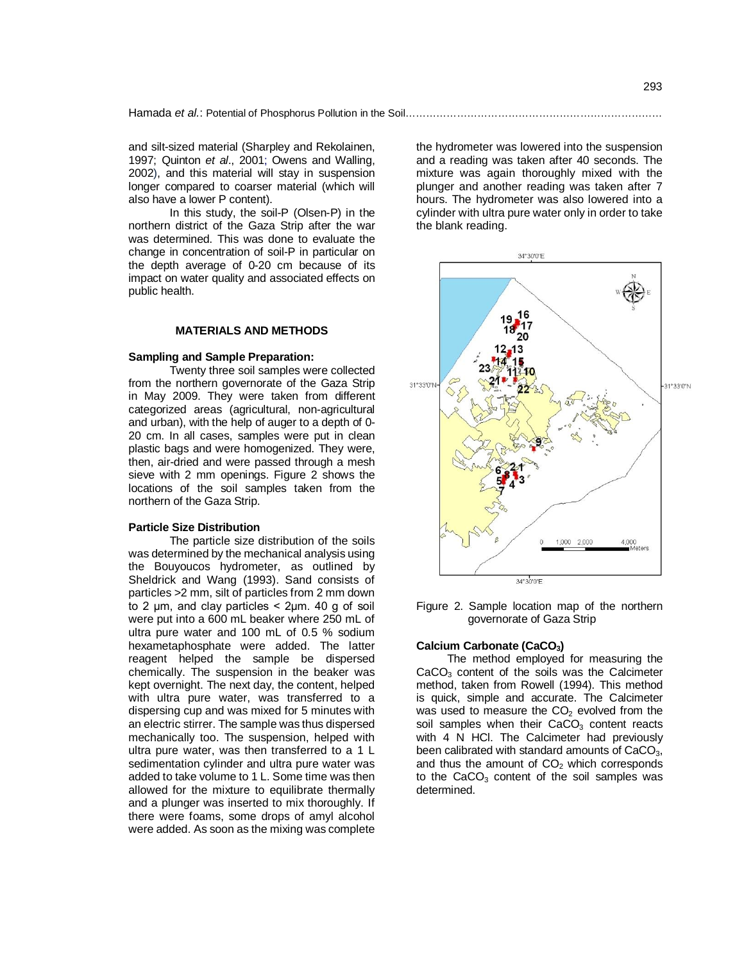and silt-sized material (Sharpley and Rekolainen, 1997; Quinton *et al*., 2001; Owens and Walling, 2002), and this material will stay in suspension longer compared to coarser material (which will also have a lower P content).

In this study, the soil-P (Olsen-P) in the northern district of the Gaza Strip after the war was determined. This was done to evaluate the change in concentration of soil-P in particular on the depth average of 0-20 cm because of its impact on water quality and associated effects on public health.

### **MATERIALS AND METHODS**

#### **Sampling and Sample Preparation:**

Twenty three soil samples were collected from the northern governorate of the Gaza Strip in May 2009. They were taken from different categorized areas (agricultural, non-agricultural and urban), with the help of auger to a depth of 0- 20 cm. In all cases, samples were put in clean plastic bags and were homogenized. They were, then, air-dried and were passed through a mesh sieve with 2 mm openings. Figure 2 shows the locations of the soil samples taken from the northern of the Gaza Strip.

#### **Particle Size Distribution**

The particle size distribution of the soils was determined by the mechanical analysis using the Bouyoucos hydrometer, as outlined by Sheldrick and Wang (1993). Sand consists of particles >2 mm, silt of particles from 2 mm down to 2  $\mu$ m, and clay particles < 2 $\mu$ m. 40 g of soil were put into a 600 mL beaker where 250 mL of ultra pure water and 100 mL of 0.5 % sodium hexametaphosphate were added. The latter reagent helped the sample be dispersed chemically. The suspension in the beaker was kept overnight. The next day, the content, helped with ultra pure water, was transferred to a dispersing cup and was mixed for 5 minutes with an electric stirrer. The sample was thus dispersed mechanically too. The suspension, helped with ultra pure water, was then transferred to a 1 L sedimentation cylinder and ultra pure water was added to take volume to 1 L. Some time was then allowed for the mixture to equilibrate thermally and a plunger was inserted to mix thoroughly. If there were foams, some drops of amyl alcohol were added. As soon as the mixing was complete

the hydrometer was lowered into the suspension and a reading was taken after 40 seconds. The mixture was again thoroughly mixed with the plunger and another reading was taken after 7 hours. The hydrometer was also lowered into a cylinder with ultra pure water only in order to take the blank reading.



Figure 2. Sample location map of the northern governorate of Gaza Strip

#### **Calcium Carbonate (CaCO3)**

The method employed for measuring the  $CaCO<sub>3</sub>$  content of the soils was the Calcimeter method, taken from Rowell (1994). This method is quick, simple and accurate. The Calcimeter was used to measure the  $CO<sub>2</sub>$  evolved from the soil samples when their  $CaCO<sub>3</sub>$  content reacts with 4 N HCl. The Calcimeter had previously been calibrated with standard amounts of CaCO<sub>3</sub>, and thus the amount of  $CO<sub>2</sub>$  which corresponds to the  $CaCO<sub>3</sub>$  content of the soil samples was determined.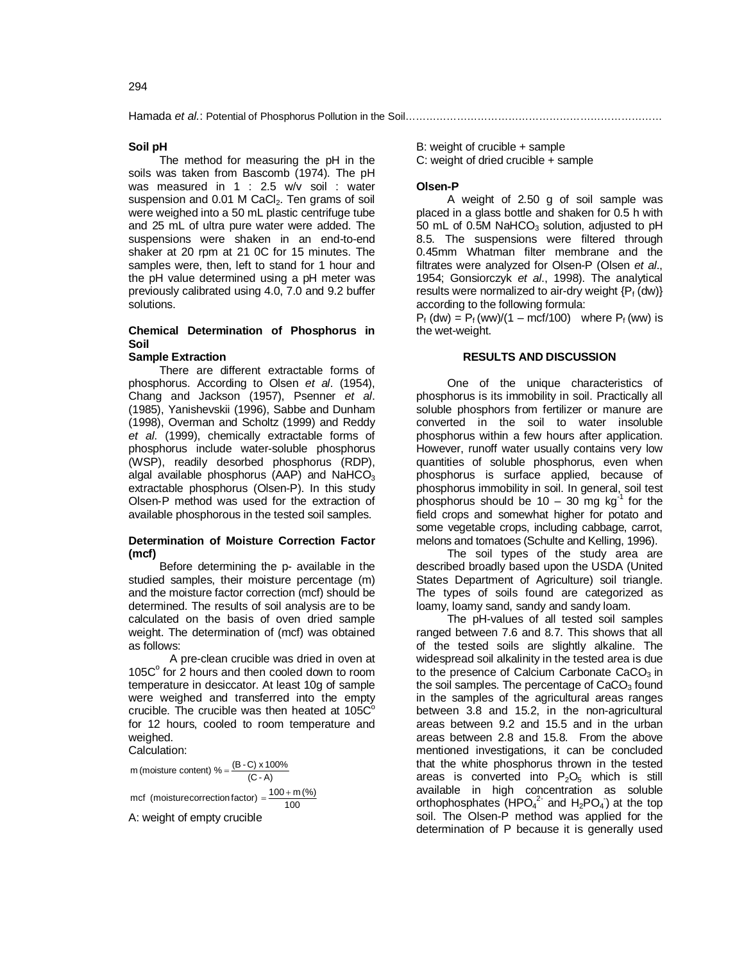Hamada *et al.*: Potential of Phosphorus Pollution in the Soil……………………………………………………

## **Soil pH**

The method for measuring the pH in the soils was taken from Bascomb (1974). The pH was measured in 1 : 2.5 w/v soil : water suspension and 0.01 M CaCl<sub>2</sub>. Ten grams of soil were weighed into a 50 mL plastic centrifuge tube and 25 mL of ultra pure water were added. The suspensions were shaken in an end-to-end shaker at 20 rpm at 21 0C for 15 minutes. The samples were, then, left to stand for 1 hour and the pH value determined using a pH meter was previously calibrated using 4.0, 7.0 and 9.2 buffer solutions.

## **Chemical Determination of Phosphorus in Soil**

#### **Sample Extraction**

There are different extractable forms of phosphorus. According to Olsen *et al*. (1954), Chang and Jackson (1957), Psenner *et al*. (1985), Yanishevskii (1996), Sabbe and Dunham (1998), Overman and Scholtz (1999) and Reddy *et al*. (1999), chemically extractable forms of phosphorus include water-soluble phosphorus (WSP), readily desorbed phosphorus (RDP), algal available phosphorus (AAP) and NaHCO $_3$ extractable phosphorus (Olsen-P). In this study Olsen-P method was used for the extraction of available phosphorous in the tested soil samples.

### **Determination of Moisture Correction Factor (mcf)**

Before determining the p- available in the studied samples, their moisture percentage (m) and the moisture factor correction (mcf) should be determined. The results of soil analysis are to be calculated on the basis of oven dried sample weight. The determination of (mcf) was obtained as follows:

A pre-clean crucible was dried in oven at 105C° for 2 hours and then cooled down to room temperature in desiccator. At least 10g of sample were weighed and transferred into the empty crucible. The crucible was then heated at  $105C^{\circ}$ for 12 hours, cooled to room temperature and weighed.

Calculation:

 $(C - A)$ m (moisture content) % =  $\frac{(B-C) \times 100\%}{2}$ mcf (moisturecorrection factor) =  $\frac{100 + m (\%)}{100}$ A: weight of empty crucible

B: weight of crucible + sample C: weight of dried crucible + sample

### **Olsen-P**

A weight of 2.50 g of soil sample was placed in a glass bottle and shaken for 0.5 h with 50 mL of 0.5M NaHCO<sub>3</sub> solution, adjusted to pH 8.5. The suspensions were filtered through 0.45mm Whatman filter membrane and the filtrates were analyzed for Olsen-P (Olsen *et al*., 1954; Gonsiorczyk *et al*., 1998). The analytical results were normalized to air-dry weight  $\{P_f(dw)\}\$ according to the following formula:

 $P_f$  (dw) =  $P_f$  (ww)/(1 – mcf/100) where  $P_f$  (ww) is the wet-weight.

## **RESULTS AND DISCUSSION**

One of the unique characteristics of phosphorus is its immobility in soil. Practically all soluble phosphors from fertilizer or manure are converted in the soil to water insoluble phosphorus within a few hours after application. However, runoff water usually contains very low quantities of soluble phosphorus, even when phosphorus is surface applied, because of phosphorus immobility in soil. In general, soil test phosphorus should be  $10 - 30$  mg kg<sup>-1</sup> for the field crops and somewhat higher for potato and some vegetable crops, including cabbage, carrot, melons and tomatoes (Schulte and Kelling, 1996).

The soil types of the study area are described broadly based upon the USDA (United States Department of Agriculture) soil triangle. The types of soils found are categorized as loamy, loamy sand, sandy and sandy loam.

The pH-values of all tested soil samples ranged between 7.6 and 8.7. This shows that all of the tested soils are slightly alkaline. The widespread soil alkalinity in the tested area is due to the presence of Calcium Carbonate  $CaCO<sub>3</sub>$  in the soil samples. The percentage of  $CaCO<sub>3</sub>$  found in the samples of the agricultural areas ranges between 3.8 and 15.2, in the non-agricultural areas between 9.2 and 15.5 and in the urban areas between 2.8 and 15.8. From the above mentioned investigations, it can be concluded that the white phosphorus thrown in the tested areas is converted into  $P_2O_5$  which is still available in high concentration as soluble orthophosphates  $(HPO<sub>4</sub><sup>2</sup>$  and  $H<sub>2</sub>PO<sub>4</sub>$ ) at the top soil. The Olsen-P method was applied for the determination of P because it is generally used

294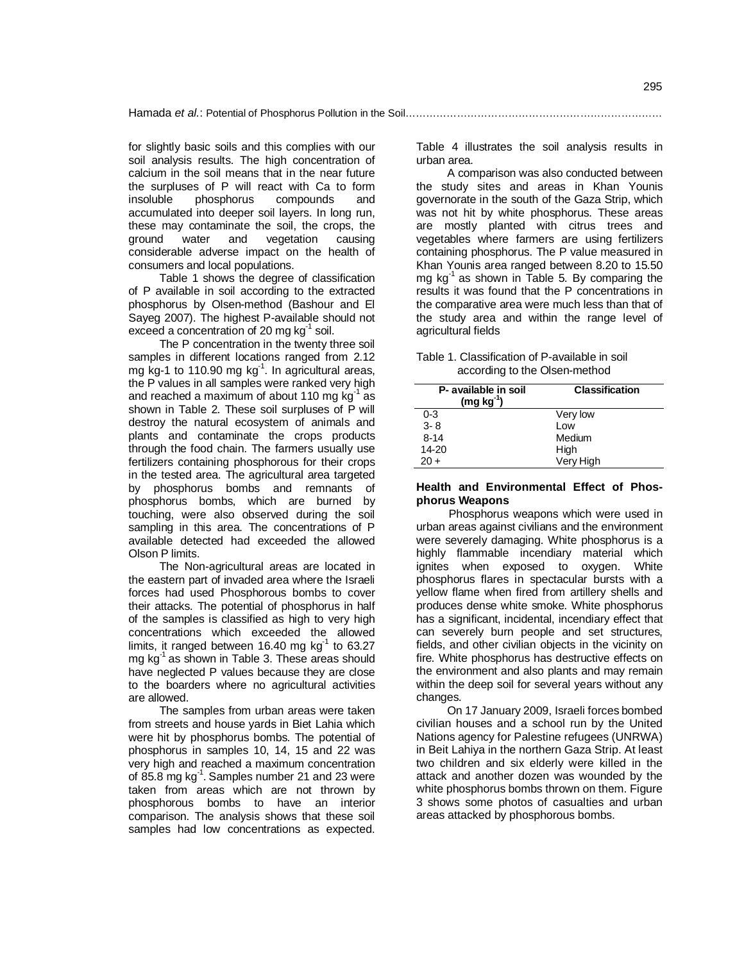for slightly basic soils and this complies with our soil analysis results. The high concentration of calcium in the soil means that in the near future the surpluses of P will react with Ca to form<br>insoluble phosphorus compounds and phosphorus compounds and accumulated into deeper soil layers. In long run, these may contaminate the soil, the crops, the ground water and vegetation causing and vegetation causing considerable adverse impact on the health of consumers and local populations.

Table 1 shows the degree of classification of P available in soil according to the extracted phosphorus by Olsen-method (Bashour and El Sayeg 2007). The highest P-available should not exceed a concentration of 20 mg  $kg^{-1}$  soil.

The P concentration in the twenty three soil samples in different locations ranged from 2.12 mg kg-1 to 110.90 mg  $kg<sup>-1</sup>$ . In agricultural areas, the P values in all samples were ranked very high and reached a maximum of about 110 mg  $kg<sup>-1</sup>$  as shown in Table 2. These soil surpluses of P will destroy the natural ecosystem of animals and plants and contaminate the crops products through the food chain. The farmers usually use fertilizers containing phosphorous for their crops in the tested area. The agricultural area targeted by phosphorus bombs and remnants of phosphorus bombs, which are burned by touching, were also observed during the soil sampling in this area. The concentrations of P available detected had exceeded the allowed Olson P limits.

The Non-agricultural areas are located in the eastern part of invaded area where the Israeli forces had used Phosphorous bombs to cover their attacks. The potential of phosphorus in half of the samples is classified as high to very high concentrations which exceeded the allowed limits, it ranged between 16.40 mg  $kg<sup>-1</sup>$  to 63.27 mg  $kg^{-1}$  as shown in Table 3. These areas should have neglected P values because they are close to the boarders where no agricultural activities are allowed.

The samples from urban areas were taken from streets and house yards in Biet Lahia which were hit by phosphorus bombs. The potential of phosphorus in samples 10, 14, 15 and 22 was very high and reached a maximum concentration of 85.8 mg kg<sup>-1</sup>. Samples number 21 and 23 were taken from areas which are not thrown by phosphorous bombs to have an interior comparison. The analysis shows that these soil samples had low concentrations as expected.

Table 4 illustrates the soil analysis results in urban area.

A comparison was also conducted between the study sites and areas in Khan Younis governorate in the south of the Gaza Strip, which was not hit by white phosphorus. These areas are mostly planted with citrus trees and vegetables where farmers are using fertilizers containing phosphorus. The P value measured in Khan Younis area ranged between 8.20 to 15.50 mg  $kg^{-1}$  as shown in Table 5. By comparing the results it was found that the P concentrations in the comparative area were much less than that of the study area and within the range level of agricultural fields

#### Table 1. Classification of P-available in soil according to the Olsen-method

| P- available in soil<br>$(mg kg-1)$ | <b>Classification</b> |  |  |  |  |
|-------------------------------------|-----------------------|--|--|--|--|
| $0 - 3$                             | Very low              |  |  |  |  |
| $3 - 8$                             | l ow                  |  |  |  |  |
| $8 - 14$                            | Medium                |  |  |  |  |
| 14-20                               | High                  |  |  |  |  |
| $20 +$                              | Very High             |  |  |  |  |

## **Health and Environmental Effect of Phosphorus Weapons**

Phosphorus weapons which were used in urban areas against civilians and the environment were severely damaging. White phosphorus is a highly flammable incendiary material which ignites when exposed to oxygen. White phosphorus flares in spectacular bursts with a yellow flame when fired from artillery shells and produces dense white smoke. White phosphorus has a significant, incidental, incendiary effect that can severely burn people and set structures, fields, and other civilian objects in the vicinity on fire. White phosphorus has destructive effects on the environment and also plants and may remain within the deep soil for several years without any changes.

On 17 January 2009, Israeli forces bombed civilian houses and a school run by the United Nations agency for Palestine refugees (UNRWA) in Beit Lahiya in the northern Gaza Strip. At least two children and six elderly were killed in the attack and another dozen was wounded by the white phosphorus bombs thrown on them. Figure 3 shows some photos of casualties and urban areas attacked by phosphorous bombs.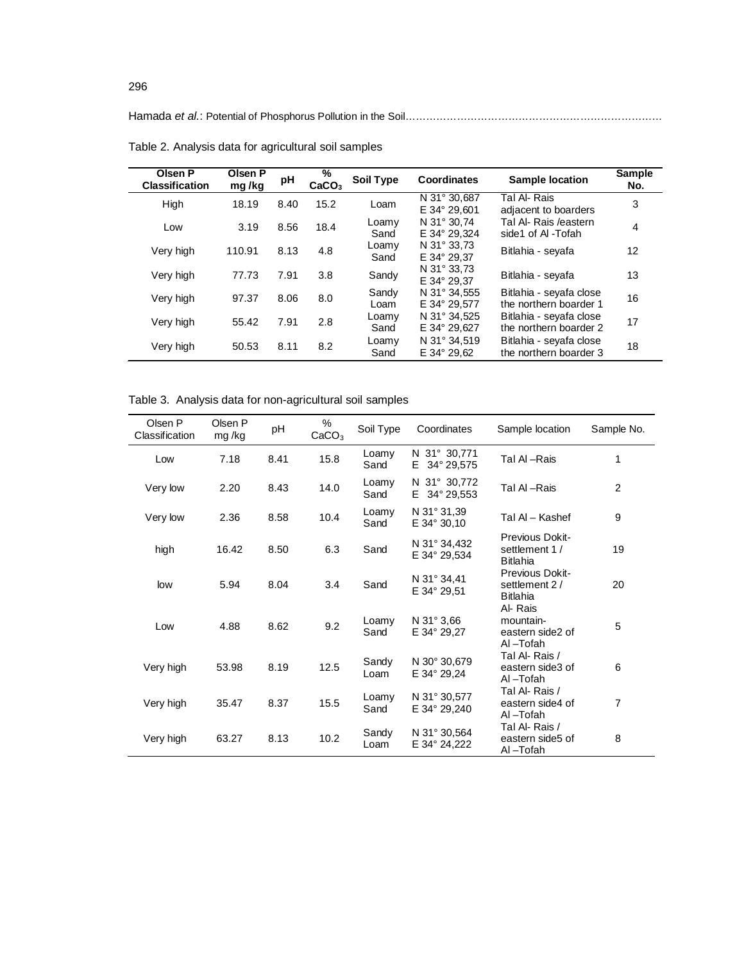## Hamada *et al.*: Potential of Phosphorus Pollution in the Soil…………………………………………………………………

| Olsen P<br><b>Classification</b> | Olsen P<br>mg/kg | рH   | %<br>CaCO <sub>3</sub> | Soil Type     | Coordinates                  | <b>Sample location</b>                            | <b>Sample</b><br>No. |
|----------------------------------|------------------|------|------------------------|---------------|------------------------------|---------------------------------------------------|----------------------|
| High                             | 18.19            | 8.40 | 15.2                   | Loam          | N 31° 30.687<br>E 34° 29,601 | Tal Al-Rais<br>adjacent to boarders               | 3                    |
| Low                              | 3.19             | 8.56 | 18.4                   | Loamy<br>Sand | N 31° 30.74<br>E 34° 29.324  | Tal Al- Rais /eastern<br>side1 of AI-Tofah        | 4                    |
| Very high                        | 110.91           | 8.13 | 4.8                    | Loamy<br>Sand | N 31° 33,73<br>E 34° 29.37   | Bitlahia - seyafa                                 | 12                   |
| Very high                        | 77.73            | 7.91 | 3.8                    | Sandy         | N 31° 33.73<br>E 34° 29.37   | Bitlahia - seyafa                                 | 13                   |
| Very high                        | 97.37            | 8.06 | 8.0                    | Sandy<br>Loam | N 31° 34.555<br>E 34° 29.577 | Bitlahia - seyafa close<br>the northern boarder 1 | 16                   |
| Very high                        | 55.42            | 7.91 | 2.8                    | Loamy<br>Sand | N 31° 34.525<br>E 34° 29,627 | Bitlahia - seyafa close<br>the northern boarder 2 | 17                   |
| Very high                        | 50.53            | 8.11 | 8.2                    | Loamy<br>Sand | N 31° 34.519<br>E 34° 29.62  | Bitlahia - seyafa close<br>the northern boarder 3 | 18                   |

Table 2. Analysis data for agricultural soil samples

Table 3. Analysis data for non-agricultural soil samples

| Olsen P<br>Classification | Olsen P<br>mg/kg | pH   | %<br>CaCO <sub>3</sub> | Soil Type     | Coordinates                           | Sample location                                      | Sample No.     |
|---------------------------|------------------|------|------------------------|---------------|---------------------------------------|------------------------------------------------------|----------------|
| Low                       | 7.18             | 8.41 | 15.8                   | Loamy<br>Sand | N 31° 30,771<br>34° 29,575<br>E.      | Tal Al-Rais                                          | 1              |
| Very low                  | 2.20             | 8.43 | 14.0                   | Loamy<br>Sand | N 31° 30,772<br>E.<br>34° 29,553      | Tal Al-Rais                                          | $\overline{2}$ |
| Very low                  | 2.36             | 8.58 | 10.4                   | Loamy<br>Sand | N 31° 31,39<br>$E$ 34 $\degree$ 30,10 | Tal Al - Kashef                                      | 9              |
| high                      | 16.42            | 8.50 | 6.3                    | Sand          | N 31° 34,432<br>E 34° 29,534          | Previous Dokit-<br>settlement 1 /<br><b>Bitlahia</b> | 19             |
| low                       | 5.94             | 8.04 | 3.4                    | Sand          | N 31° 34.41<br>E 34° 29,51            | Previous Dokit-<br>settlement 2/<br><b>Bitlahia</b>  | 20             |
| Low                       | 4.88             | 8.62 | 9.2                    | Loamy<br>Sand | N $31^{\circ}$ 3.66<br>E 34° 29.27    | Al-Rais<br>mountain-<br>eastern side2 of<br>Al-Tofah | 5              |
| Very high                 | 53.98            | 8.19 | 12.5                   | Sandy<br>Loam | N 30° 30,679<br>E 34° 29.24           | Tal Al-Rais /<br>eastern side3 of<br>Al-Tofah        | 6              |
| Very high                 | 35.47            | 8.37 | 15.5                   | Loamy<br>Sand | N 31° 30,577<br>E 34° 29.240          | Tal Al-Rais /<br>eastern side4 of<br>Al-Tofah        | $\overline{7}$ |
| Very high                 | 63.27            | 8.13 | 10.2                   | Sandy<br>Loam | N 31° 30,564<br>E 34° 24, 222         | Tal Al-Rais /<br>eastern side5 of<br>Al-Tofah        | 8              |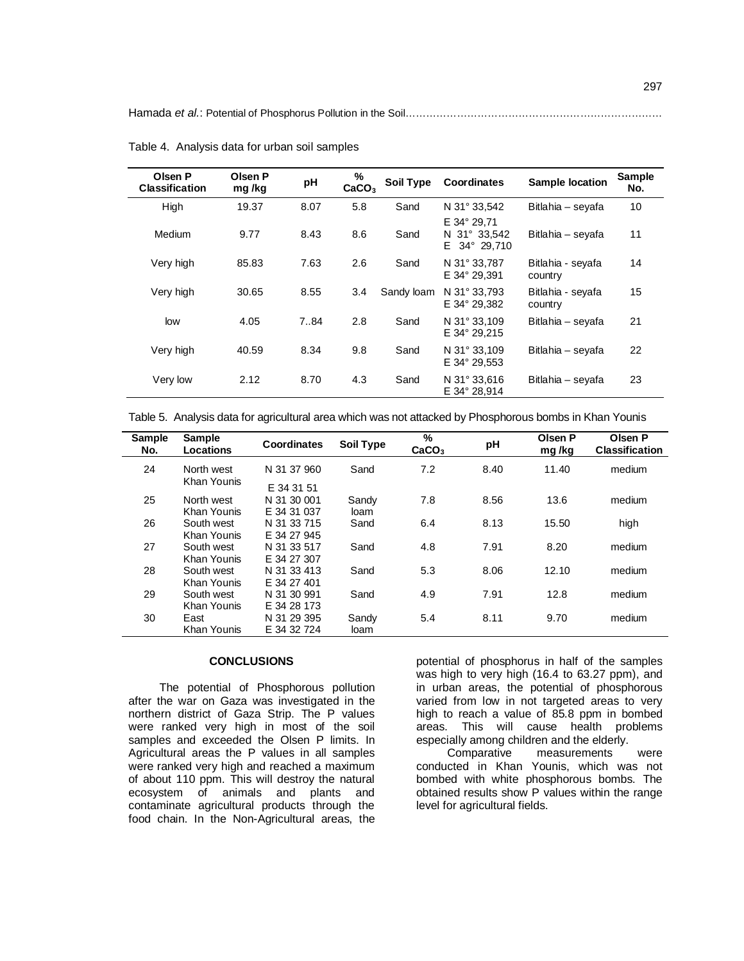Hamada et al.: Potential of Phosphorus Pollution in the Soil…………………………………………………………

| Olsen P<br><b>Classification</b> | Olsen P<br>mg/kg | pH   | %<br>CaCO <sub>3</sub> | <b>Soil Type</b> | <b>Coordinates</b>                                           | <b>Sample location</b>       | <b>Sample</b><br>No. |
|----------------------------------|------------------|------|------------------------|------------------|--------------------------------------------------------------|------------------------------|----------------------|
| High                             | 19.37            | 8.07 | 5.8                    | Sand             | N 31° 33.542                                                 | Bitlahia - seyafa            | 10                   |
| Medium                           | 9.77             | 8.43 | 8.6                    | Sand             | E 34° 29,71<br>$31^{\circ}$ 33.542<br>N.<br>F.<br>34° 29,710 | Bitlahia - seyafa            | 11                   |
| Very high                        | 85.83            | 7.63 | 2.6                    | Sand             | N 31° 33.787<br>E 34° 29.391                                 | Bitlahia - seyafa<br>country | 14                   |
| Very high                        | 30.65            | 8.55 | 3.4                    | Sandy loam       | N 31° 33.793<br>E 34° 29.382                                 | Bitlahia - seyafa<br>country | 15                   |
| low                              | 4.05             | 7.84 | 2.8                    | Sand             | N 31° 33.109<br>E 34° 29.215                                 | Bitlahia - seyafa            | 21                   |
| Very high                        | 40.59            | 8.34 | 9.8                    | Sand             | N $31^{\circ}$ 33.109<br>E 34° 29.553                        | Bitlahia – seyafa            | 22                   |
| Very low                         | 2.12             | 8.70 | 4.3                    | Sand             | N 31° 33,616<br>E 34° 28,914                                 | Bitlahia - seyafa            | 23                   |

Table 4. Analysis data for urban soil samples

|  |  |  | Table 5. Analysis data for agricultural area which was not attacked by Phosphorous bombs in Khan Younis |
|--|--|--|---------------------------------------------------------------------------------------------------------|
|  |  |  |                                                                                                         |

| <b>Sample</b><br>No. | <b>Sample</b><br>Locations | <b>Coordinates</b> | Soil Type | $\frac{9}{6}$<br>CaCO <sub>3</sub> | pH   | Olsen P<br>mg/kg | Olsen P<br><b>Classification</b> |
|----------------------|----------------------------|--------------------|-----------|------------------------------------|------|------------------|----------------------------------|
| 24                   | North west<br>Khan Younis  | N 31 37 960        | Sand      | 7.2                                | 8.40 | 11.40            | medium                           |
|                      |                            | E 34 31 51         |           |                                    |      |                  |                                  |
| 25                   | North west                 | N 31 30 001        | Sandy     | 7.8                                | 8.56 | 13.6             | medium                           |
|                      | Khan Younis                | E 34 31 037        | loam      |                                    |      |                  |                                  |
| 26                   | South west                 | N 31 33 715        | Sand      | 6.4                                | 8.13 | 15.50            | high                             |
|                      | Khan Younis                | F 34 27 945        |           |                                    |      |                  |                                  |
| 27                   | South west                 | N 31 33 517        | Sand      | 4.8                                | 7.91 | 8.20             | medium                           |
|                      | Khan Younis                | E 34 27 307        |           |                                    |      |                  |                                  |
| 28                   | South west                 | N 31 33 413        | Sand      | 5.3                                | 8.06 | 12.10            | medium                           |
|                      | Khan Younis                | E 34 27 401        |           |                                    |      |                  |                                  |
| 29                   | South west                 | N 31 30 991        | Sand      | 4.9                                | 7.91 | 12.8             | medium                           |
|                      | Khan Younis                | E 34 28 173        |           |                                    |      |                  |                                  |
| 30                   | East                       | N 31 29 395        | Sandy     | 5.4                                | 8.11 | 9.70             | medium                           |
|                      | Khan Younis                | E 34 32 724        | loam      |                                    |      |                  |                                  |

## **CONCLUSIONS**

The potential of Phosphorous pollution after the war on Gaza was investigated in the northern district of Gaza Strip. The P values were ranked very high in most of the soil samples and exceeded the Olsen P limits. In Agricultural areas the P values in all samples were ranked very high and reached a maximum of about 110 ppm. This will destroy the natural ecosystem of animals and plants and contaminate agricultural products through the food chain. In the Non-Agricultural areas, the

potential of phosphorus in half of the samples was high to very high (16.4 to 63.27 ppm), and in urban areas, the potential of phosphorous varied from low in not targeted areas to very high to reach a value of 85.8 ppm in bombed areas. This will cause health problems especially among children and the elderly.<br>Comparative measurements

measurements were conducted in Khan Younis, which was not bombed with white phosphorous bombs. The obtained results show P values within the range level for agricultural fields.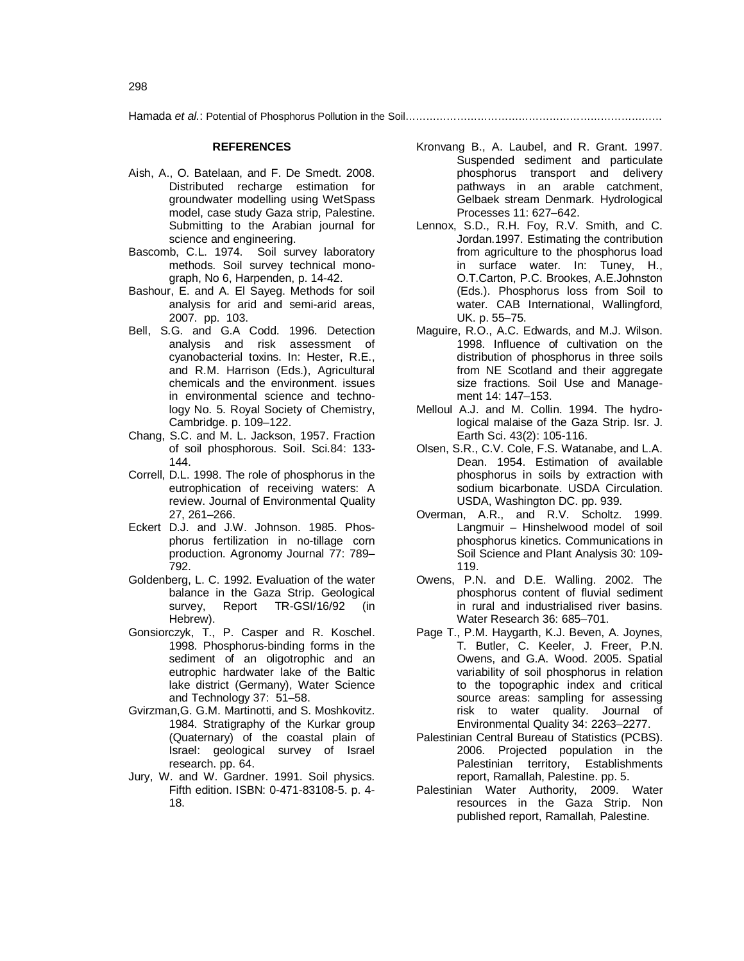Hamada *et al.*: Potential of Phosphorus Pollution in the Soil…………………………………………………………………

#### **REFERENCES**

- Aish, A., O. Batelaan, and F. De Smedt. 2008. Distributed recharge estimation for groundwater modelling using WetSpass model, case study Gaza strip, Palestine. Submitting to the Arabian journal for science and engineering.
- Bascomb, C.L. 1974. Soil survey laboratory methods. Soil survey technical monograph, No 6, Harpenden, p. 14-42.
- Bashour, E. and A. El Sayeg. Methods for soil analysis for arid and semi-arid areas, 2007. pp. 103.
- Bell, S.G. and G.A Codd. 1996. Detection analysis and risk assessment of cyanobacterial toxins. In: Hester, R.E., and R.M. Harrison (Eds.), Agricultural chemicals and the environment. issues in environmental science and technology No. 5. Royal Society of Chemistry, Cambridge. p. 109–122.
- Chang, S.C. and M. L. Jackson, 1957. Fraction of soil phosphorous. Soil. Sci.84: 133- 144.
- Correll, D.L. 1998. The role of phosphorus in the eutrophication of receiving waters: A review. Journal of Environmental Quality 27, 261–266.
- Eckert D.J. and J.W. Johnson. 1985. Phosphorus fertilization in no-tillage corn production. Agronomy Journal 77: 789– 792.
- Goldenberg, L. C. 1992. Evaluation of the water balance in the Gaza Strip. Geological survey, Report TR-GSI/16/92 (in Hebrew).
- Gonsiorczyk, T., P. Casper and R. Koschel. 1998. Phosphorus-binding forms in the sediment of an oligotrophic and an eutrophic hardwater lake of the Baltic lake district (Germany), Water Science and Technology 37: 51–58.
- Gvirzman,G. G.M. Martinotti, and S. Moshkovitz. 1984. Stratigraphy of the Kurkar group (Quaternary) of the coastal plain of Israel: geological survey of Israel research. pp. 64.
- Jury, W. and W. Gardner. 1991. Soil physics. Fifth edition. ISBN: 0-471-83108-5. p. 4- 18.
- Kronvang B., A. Laubel, and R. Grant. 1997. Suspended sediment and particulate phosphorus transport and delivery pathways in an arable catchment, Gelbaek stream Denmark. Hydrological Processes 11: 627–642.
- Lennox, S.D., R.H. Foy, R.V. Smith, and C. Jordan.1997. Estimating the contribution from agriculture to the phosphorus load in surface water. In: Tuney, H., O.T.Carton, P.C. Brookes, A.E.Johnston (Eds.). Phosphorus loss from Soil to water. CAB International, Wallingford, UK. p. 55–75.
- Maguire, R.O., A.C. Edwards, and M.J. Wilson. 1998. Influence of cultivation on the distribution of phosphorus in three soils from NE Scotland and their aggregate size fractions. Soil Use and Management 14: 147–153.
- Melloul A.J. and M. Collin. 1994. The hydrological malaise of the Gaza Strip. Isr. J. Earth Sci*.* 43(2): 105-116.
- Olsen, S.R., C.V. Cole, F.S. Watanabe, and L.A. Dean. 1954. Estimation of available phosphorus in soils by extraction with sodium bicarbonate. USDA Circulation. USDA, Washington DC. pp. 939.
- Overman, A.R., and R.V. Scholtz. 1999. Langmuir – Hinshelwood model of soil phosphorus kinetics. Communications in Soil Science and Plant Analysis 30: 109- 119.
- Owens, P.N. and D.E. Walling. 2002. The phosphorus content of fluvial sediment in rural and industrialised river basins. Water Research 36: 685–701.
- Page T., P.M. Haygarth, K.J. Beven, A. Joynes, T. Butler, C. Keeler, J. Freer, P.N. Owens, and G.A. Wood. 2005. Spatial variability of soil phosphorus in relation to the topographic index and critical source areas: sampling for assessing risk to water quality. Journal of Environmental Quality 34: 2263–2277.
- Palestinian Central Bureau of Statistics (PCBS). 2006. Projected population in the Palestinian territory, Establishments report, Ramallah, Palestine. pp. 5.
- Palestinian Water Authority, 2009. Water resources in the Gaza Strip. Non published report, Ramallah, Palestine.